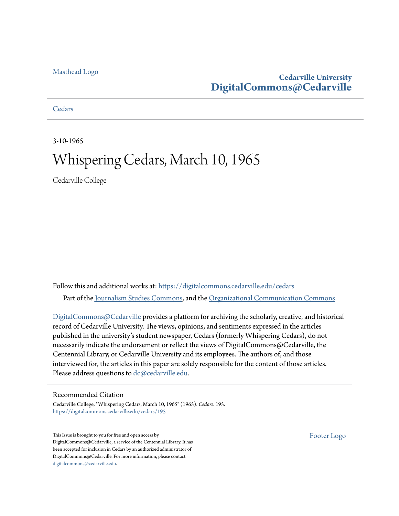## [Masthead Logo](http://www.cedarville.edu/?utm_source=digitalcommons.cedarville.edu%2Fcedars%2F195&utm_medium=PDF&utm_campaign=PDFCoverPages)

## **Cedarville University [DigitalCommons@Cedarville](https://digitalcommons.cedarville.edu?utm_source=digitalcommons.cedarville.edu%2Fcedars%2F195&utm_medium=PDF&utm_campaign=PDFCoverPages)**

**[Cedars](https://digitalcommons.cedarville.edu/cedars?utm_source=digitalcommons.cedarville.edu%2Fcedars%2F195&utm_medium=PDF&utm_campaign=PDFCoverPages)** 

3-10-1965

## Whispering Cedars, March 10, 1965

Cedarville College

Follow this and additional works at: [https://digitalcommons.cedarville.edu/cedars](https://digitalcommons.cedarville.edu/cedars?utm_source=digitalcommons.cedarville.edu%2Fcedars%2F195&utm_medium=PDF&utm_campaign=PDFCoverPages) Part of the [Journalism Studies Commons](http://network.bepress.com/hgg/discipline/333?utm_source=digitalcommons.cedarville.edu%2Fcedars%2F195&utm_medium=PDF&utm_campaign=PDFCoverPages), and the [Organizational Communication Commons](http://network.bepress.com/hgg/discipline/335?utm_source=digitalcommons.cedarville.edu%2Fcedars%2F195&utm_medium=PDF&utm_campaign=PDFCoverPages)

[DigitalCommons@Cedarville](http://digitalcommons.cedarville.edu/) provides a platform for archiving the scholarly, creative, and historical record of Cedarville University. The views, opinions, and sentiments expressed in the articles published in the university's student newspaper, Cedars (formerly Whispering Cedars), do not necessarily indicate the endorsement or reflect the views of DigitalCommons@Cedarville, the Centennial Library, or Cedarville University and its employees. The authors of, and those interviewed for, the articles in this paper are solely responsible for the content of those articles. Please address questions to [dc@cedarville.edu.](mailto:dc@cedarville.edu)

## Recommended Citation

Cedarville College, "Whispering Cedars, March 10, 1965" (1965). *Cedars*. 195. [https://digitalcommons.cedarville.edu/cedars/195](https://digitalcommons.cedarville.edu/cedars/195?utm_source=digitalcommons.cedarville.edu%2Fcedars%2F195&utm_medium=PDF&utm_campaign=PDFCoverPages)

This Issue is brought to you for free and open access by DigitalCommons@Cedarville, a service of the Centennial Library. It has been accepted for inclusion in Cedars by an authorized administrator of DigitalCommons@Cedarville. For more information, please contact [digitalcommons@cedarville.edu](mailto:digitalcommons@cedarville.edu).

[Footer Logo](http://www.cedarville.edu/Academics/Library.aspx?utm_source=digitalcommons.cedarville.edu%2Fcedars%2F195&utm_medium=PDF&utm_campaign=PDFCoverPages)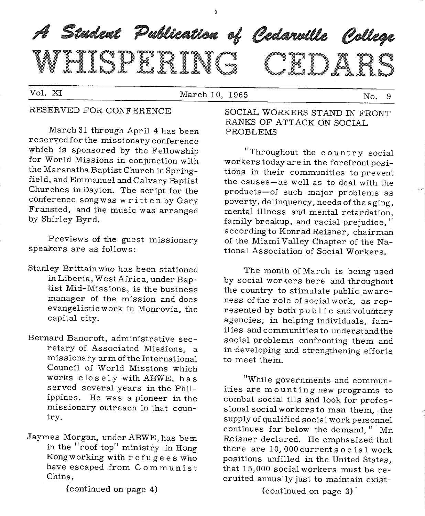# A Student Publication of Cedarville College WHICPHRING ITIDAR

Vol. XI March 10, 1965 No. 9

## RESERVED FOR CONFERENCE

March 31 through April 4 has been reseryed for the missionary conference which is sponsored by the Fellowship for World Missions in conjunction with the Maranatha Baptist Church in Springfield, and Emmanuel and Calvary Paptist Churches in Dayton. The script for the conference song was written by Gary Fransted, and the music was arranged by Shirley Byrd.

Previews of the guest missionary speakers are as follows:

- Stanley Brittain who has been stationed in Liberia, West Africa, under Baptist Mid-Missions, is the business manager of the mission and does evangelistic work in Monrovia, the capital city.
- Bernard Bancroft, administrative secretary of Associated Missions, <sup>a</sup> missionary arm of the International Council of World Missions which works closely with ABWE, has served several years in the Philippines. He was <sup>a</sup>pioneer in the missionary outreach in that country.
- Jaymes Morgan, under ABWE, has bem in the "roof top" ministry in Hong Kong working with refugees who have escaped from Communist China.

SOCIAL WORKERS STAND IN FRONT RANKS OF ATTACK ON SOCIAL PROBLEMS

"Throughout the country social workers today are in the forefront positions in their communities to prevent the causes-as well as to deal with the products-of such major problems as poverty, delinquency, needs of the aging, mental illness and mental retardation, family breakup, and racial prejudice," according to Konrad Reisner, chairman of the Miami Valley Chapter of the National Association of Social Workers.

The month of March is being used by social workers here and throughout the country to stimulate public awareness of the role of social work, as represented by both public and voluntary agencies, in helping individuals, families and communities to understand the social problems confronting them and in developing and strengthening efforts to meet them.

"While governments and communities are mounting new programs to combat social ills and look for professional social workers to man them, the supply of qualified social work personnel continues far below the demand, " Mr. Reisner declared. He emphasized that there  $are 10,000$  currents o cial work positions unfilled in the United States, that 15,000 social workers must be recruited annually just to maintain exist-

(continued on·page 4)

(continued on page 3) ·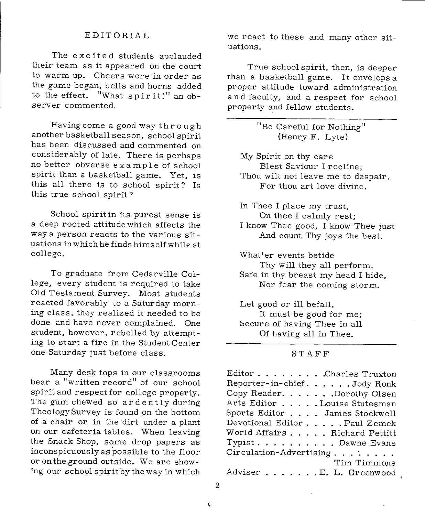### EDITORIAL

The excited students applauded their team as it appeared on the court to warm up. Cheers were in order as the game began; bells and horns added to the effect. "What spirit!" an observer commented.

Having come a good way through another basketball season, school spirit has been discussed and commented on considerably of late. There is perhaps no better obverse example of school spirit than a basketball game. Yet, is this all there is to school spirit? Is this true school. spirit?

School spirit in its purest sense is a deep rooted attitude which affects the way a person reacts to the various situations in which he finds himselfwhileat college.

To graduate from Cedarville College, every student is required to take Old Testament Survey. Most students reacted favorably to a Saturday morning class; they realized it needed to be done and have never complained. One student, however, rebelled by attempting to start a fire in the Student Center one Saturday just before class.

Many desk tops in our classrooms bear a "written record" of our school spirit and respect for college property. The gum chewed so ardently during Theology Survey is found on the bottom of a chair or in the dirt under a plant on our cafeteria tables. When leaving the Snack Shop, some drop papers as inconspicuously as possible to the floor or on the ground outside. We are showing our school spirit by the way in which

we react to these and many other situations.

True school spirit, then, is deeper than a basketball game. It envelops <sup>a</sup> proper attitude toward administration and faculty, and a respect for school property and fellow students.

> "Be Careful for Nothing" (Henry F. Lyte)

My Spirit on thy care Blest Saviour I recline; Thou wilt not leave me to despair, For thou art love divine.

In Thee I place my trust, On thee I calmly rest; <sup>I</sup>know Thee good, I know Thee just

And count Thy joys the best.

What'er events betide

Thy will they all perform, Safe in thy breast my head I hide, Nor fear the coming storm.

Let good or ill befall, It must be good for me; Secure of having Thee in all Of having all in Thee.

## STAFF

| Editor Charles Truxton        |
|-------------------------------|
| Reporter-in-chief. Jody Ronk  |
| Copy Reader. Dorothy Olsen    |
| Arts Editor Louise Stutesman  |
| Sports Editor James Stockwell |
| Devotional Editor Paul Zemek  |
| World Affairs Richard Pettitt |
| Typist Dawne Evans            |
| Circulation-Advertising       |
| Tim Timmons                   |
| Adviser E. L. Greenwood       |

2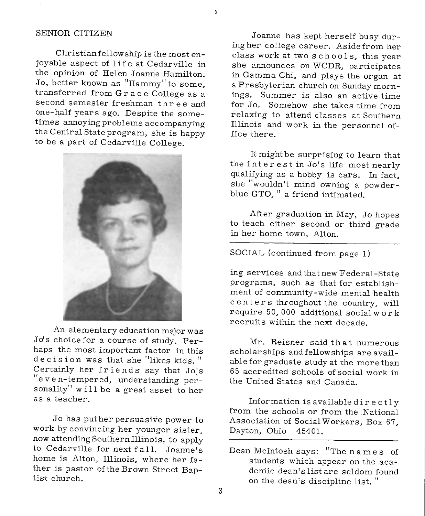### SENIOR CITIZEN

Christian fellowship is the most enjoyable aspect of 1 if e at Cedarville in the opinion of Helen Joanne Hamilton. Jo, better known as "Hammy" to some, transferred from Grace College as <sup>a</sup> second semester freshman three and one-half years ago. Despite the sometimes annoying problems accompanying the Central State program, she is happy to be a part of Cedarville College.



An elementary education major was Jo's choice for a course of study. Perhaps the most important factor in this decision was that she "likes kids." Certainly her friends say that Jo's "even-tempered, understanding personality" will be a great asset to her as a teacher.

Jo has put her persuasive power to work by convincing her younger sister, now attending Southern Illinois, to apply to Cedarville for next fall. Joanne's home is Alton, Illinois, where her father is pastor of the Brown Street Baptist church.

Joanne has kept herself busy during her college career. Asidefrom her class work at two schools, this year she announces on WCDR, participates in Gamma Chi, and plays the organ at <sup>a</sup>Presbyterian church on Sunday mornings. Summer is also an active time for Jo. Somehow she takes time from relaxing to attend classes at Southern Illinois and work in the personnel office there.

It might be surprising to learn that the int ere st in Jo's life most nearly qualifying as a hobby is cars. In fact, she "wouldn't mind owning a powderblue GTO, " a friend intimated.

After graduation in May, Jo hopes to teach either second or third grade in her home town, Alton.

SOCIAL (continued from page 1)

ing services and that new Federal-State programs, such as that for establishment of community-wide mental health centers throughout the country, will require 50, 000 additional social work recruits within the next decade.

Mr. Reisner said that numerous scholarships and fellowships are available for graduate study at the more than 65 accredited schools of social work in the United States and Canada.

Information is available directly from the schools or from the .National Association of Social Workers, Box 67, Dayton, Ohio 45401.

Dean Mcintosh says: "The names of students which appear on the academic dean's list are seldom found on the dean's discipline list. "

À